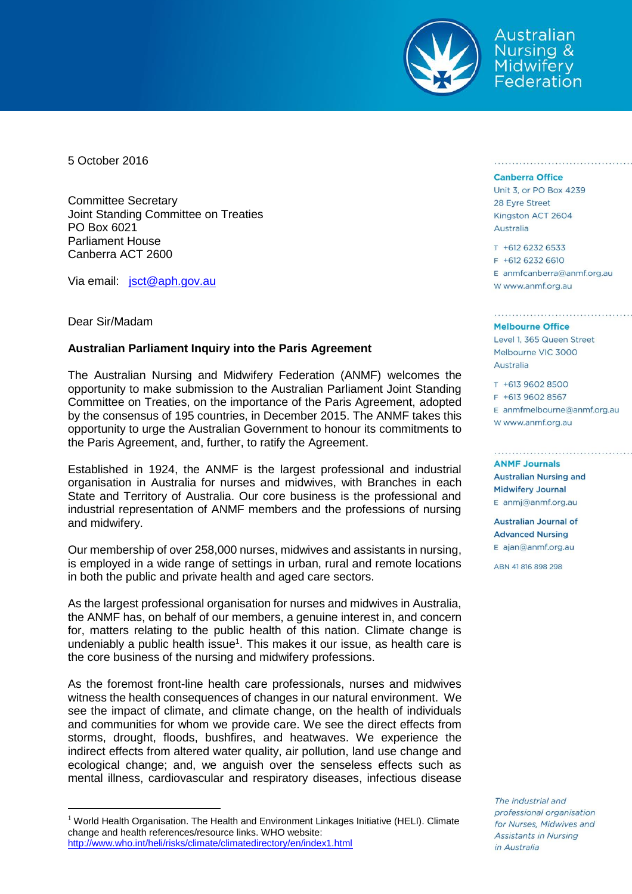

Australian **Nursing & Midwifery** Federation

5 October 2016

Committee Secretary Joint Standing Committee on Treaties PO Box 6021 Parliament House Canberra ACT 2600

Via email: [jsct@aph.gov.au](mailto:jsct@aph.gov.au)

## Dear Sir/Madam

 $\overline{a}$ 

## **Australian Parliament Inquiry into the Paris Agreement**

The Australian Nursing and Midwifery Federation (ANMF) welcomes the opportunity to make submission to the Australian Parliament Joint Standing Committee on Treaties, on the importance of the Paris Agreement, adopted by the consensus of 195 countries, in December 2015. The ANMF takes this opportunity to urge the Australian Government to honour its commitments to the Paris Agreement, and, further, to ratify the Agreement.

Established in 1924, the ANMF is the largest professional and industrial organisation in Australia for nurses and midwives, with Branches in each State and Territory of Australia. Our core business is the professional and industrial representation of ANMF members and the professions of nursing and midwifery.

Our membership of over 258,000 nurses, midwives and assistants in nursing, is employed in a wide range of settings in urban, rural and remote locations in both the public and private health and aged care sectors.

As the largest professional organisation for nurses and midwives in Australia, the ANMF has, on behalf of our members, a genuine interest in, and concern for, matters relating to the public health of this nation. Climate change is undeniably a public health issue<sup>1</sup>. This makes it our issue, as health care is the core business of the nursing and midwifery professions.

As the foremost front-line health care professionals, nurses and midwives witness the health consequences of changes in our natural environment. We see the impact of climate, and climate change, on the health of individuals and communities for whom we provide care. We see the direct effects from storms, drought, floods, bushfires, and heatwaves. We experience the indirect effects from altered water quality, air pollution, land use change and ecological change; and, we anguish over the senseless effects such as mental illness, cardiovascular and respiratory diseases, infectious disease

## **Canberra Office**

Unit 3, or PO Box 4239 28 Eyre Street Kingston ACT 2604 Australia

T +612 6232 6533 F +612 6232 6610  $E$  anmfcanberra@anmf.org.au

## **Melbourne Office**

w www.anmf.org.au

Level 1, 365 Queen Street Melbourne VIC 3000 Australia

T +613 9602 8500 F +613 9602 8567  $E$  anmfmelbourne@anmf.org.au W www.anmf.org.au

**ANME Journals Australian Nursing and Midwifery Journal** E anmj@anmf.org.au

**Australian Journal of Advanced Nursing** E ajan@anmf.org.au

ABN 41816898298

The industrial and professional organisation for Nurses, Midwives and Assistants in Nursing in Australia

<sup>&</sup>lt;sup>1</sup> World Health Organisation. The Health and Environment Linkages Initiative (HELI). Climate change and health references/resource links. WHO website: <http://www.who.int/heli/risks/climate/climatedirectory/en/index1.html>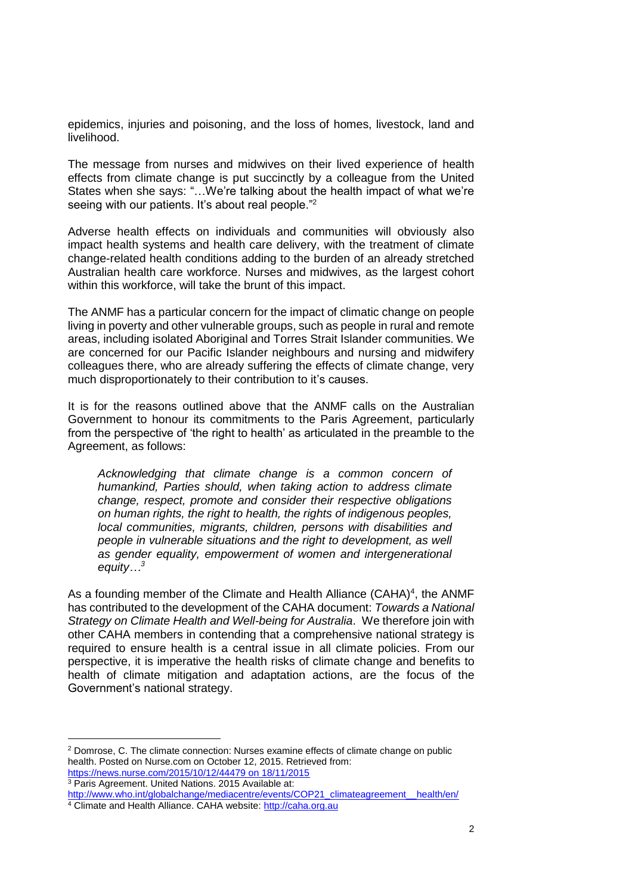epidemics, injuries and poisoning, and the loss of homes, livestock, land and livelihood.

The message from nurses and midwives on their lived experience of health effects from climate change is put succinctly by a colleague from the United States when she says: "…We're talking about the health impact of what we're seeing with our patients. It's about real people."<sup>2</sup>

Adverse health effects on individuals and communities will obviously also impact health systems and health care delivery, with the treatment of climate change-related health conditions adding to the burden of an already stretched Australian health care workforce. Nurses and midwives, as the largest cohort within this workforce, will take the brunt of this impact.

The ANMF has a particular concern for the impact of climatic change on people living in poverty and other vulnerable groups, such as people in rural and remote areas, including isolated Aboriginal and Torres Strait Islander communities. We are concerned for our Pacific Islander neighbours and nursing and midwifery colleagues there, who are already suffering the effects of climate change, very much disproportionately to their contribution to it's causes.

It is for the reasons outlined above that the ANMF calls on the Australian Government to honour its commitments to the Paris Agreement, particularly from the perspective of 'the right to health' as articulated in the preamble to the Agreement, as follows:

*Acknowledging that climate change is a common concern of humankind, Parties should, when taking action to address climate change, respect, promote and consider their respective obligations on human rights, the right to health, the rights of indigenous peoples, local communities, migrants, children, persons with disabilities and people in vulnerable situations and the right to development, as well as gender equality, empowerment of women and intergenerational equity…<sup>3</sup>*

As a founding member of the Climate and Health Alliance (CAHA)<sup>4</sup>, the ANMF has contributed to the development of the CAHA document: *Towards a National Strategy on Climate Health and Well-being for Australia*. We therefore join with other CAHA members in contending that a comprehensive national strategy is required to ensure health is a central issue in all climate policies. From our perspective, it is imperative the health risks of climate change and benefits to health of climate mitigation and adaptation actions, are the focus of the Government's national strategy.

<sup>3</sup> Paris Agreement. United Nations. 2015 Available at:

 $\overline{a}$ 

<sup>&</sup>lt;sup>2</sup> Domrose, C. The climate connection: Nurses examine effects of climate change on public health. Posted on Nurse.com on October 12, 2015. Retrieved from: [https://news.nurse.com/2015/10/12/44479 on 18/11/2015](https://news.nurse.com/2015/10/12/44479%20on%2018/11/2015)

http://www.who.int/globalchange/mediacentre/events/COP21\_climateagreement\_health/en/

<sup>4</sup> Climate and Health Alliance. CAHA website: [http://caha.org.au](http://caha.org.au/)